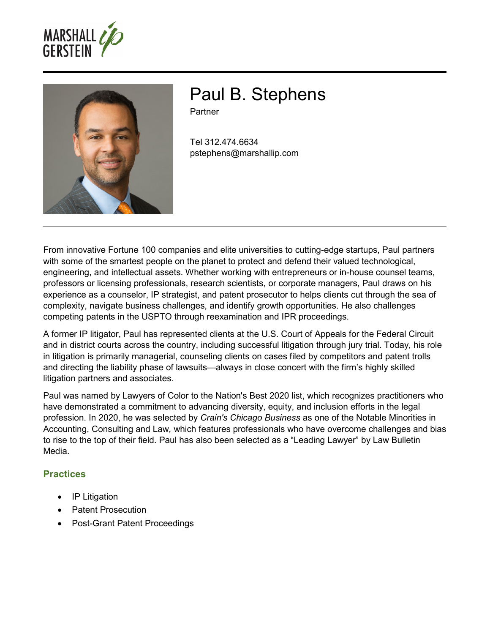



# Paul B. Stephens

**Partner** 

Tel 312.474.6634 pstephens@marshallip.com

From innovative Fortune 100 companies and elite universities to cutting-edge startups, Paul partners with some of the smartest people on the planet to protect and defend their valued technological, engineering, and intellectual assets. Whether working with entrepreneurs or in-house counsel teams, professors or licensing professionals, research scientists, or corporate managers, Paul draws on his experience as a counselor, IP strategist, and patent prosecutor to helps clients cut through the sea of complexity, navigate business challenges, and identify growth opportunities. He also challenges competing patents in the USPTO through reexamination and IPR proceedings.

A former IP litigator, Paul has represented clients at the U.S. Court of Appeals for the Federal Circuit and in district courts across the country, including successful litigation through jury trial. Today, his role in litigation is primarily managerial, counseling clients on cases filed by competitors and patent trolls and directing the liability phase of lawsuits—always in close concert with the firm's highly skilled litigation partners and associates.

Paul was named by Lawyers of Color to the Nation's Best 2020 list, which recognizes practitioners who have demonstrated a commitment to advancing diversity, equity, and inclusion efforts in the legal profession. In 2020, he was selected by *Crain's Chicago Business* as one of the Notable Minorities in Accounting, Consulting and Law*,* which features professionals who have overcome challenges and bias to rise to the top of their field. Paul has also been selected as a "Leading Lawyer" by Law Bulletin Media.

### **Practices**

- IP Litigation
- Patent Prosecution
- Post-Grant Patent Proceedings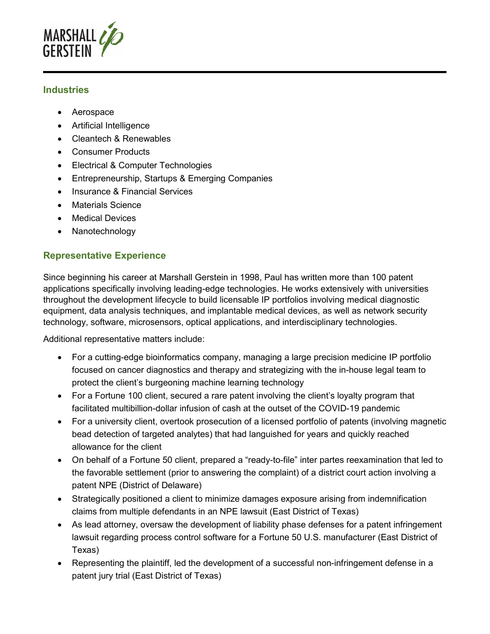

#### **Industries**

- Aerospace
- Artificial Intelligence
- Cleantech & Renewables
- Consumer Products
- Electrical & Computer Technologies
- Entrepreneurship, Startups & Emerging Companies
- Insurance & Financial Services
- Materials Science
- **•** Medical Devices
- Nanotechnology

## **Representative Experience**

Since beginning his career at Marshall Gerstein in 1998, Paul has written more than 100 patent applications specifically involving leading-edge technologies. He works extensively with universities throughout the development lifecycle to build licensable IP portfolios involving medical diagnostic equipment, data analysis techniques, and implantable medical devices, as well as network security technology, software, microsensors, optical applications, and interdisciplinary technologies.

Additional representative matters include:

- For a cutting-edge bioinformatics company, managing a large precision medicine IP portfolio focused on cancer diagnostics and therapy and strategizing with the in-house legal team to protect the client's burgeoning machine learning technology
- For a Fortune 100 client, secured a rare patent involving the client's loyalty program that facilitated multibillion-dollar infusion of cash at the outset of the COVID-19 pandemic
- For a university client, overtook prosecution of a licensed portfolio of patents (involving magnetic bead detection of targeted analytes) that had languished for years and quickly reached allowance for the client
- On behalf of a Fortune 50 client, prepared a "ready-to-file" inter partes reexamination that led to the favorable settlement (prior to answering the complaint) of a district court action involving a patent NPE (District of Delaware)
- Strategically positioned a client to minimize damages exposure arising from indemnification claims from multiple defendants in an NPE lawsuit (East District of Texas)
- As lead attorney, oversaw the development of liability phase defenses for a patent infringement lawsuit regarding process control software for a Fortune 50 U.S. manufacturer (East District of Texas)
- Representing the plaintiff, led the development of a successful non-infringement defense in a patent jury trial (East District of Texas)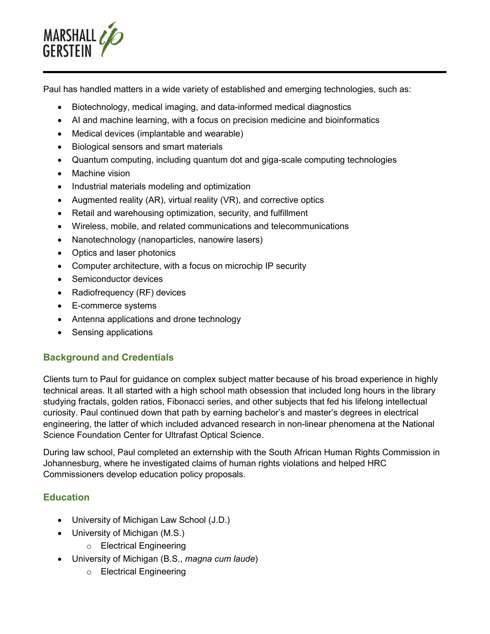

Paul has handled matters in a wide variety of established and emerging technologies, such as:

- Biotechnology, medical imaging, and data-informed medical diagnostics
- AI and machine learning, with a focus on precision medicine and bioinformatics
- Medical devices (implantable and wearable)
- Biological sensors and smart materials
- Quantum computing, including quantum dot and giga-scale computing technologies
- Machine vision
- Industrial materials modeling and optimization
- Augmented reality  $(AR)$ , virtual reality  $(VR)$ , and corrective optics
- Retail and warehousing optimization, security, and fulfillment
- Wireless, mobile, and related communications and telecommunications
- Nanotechnology (nanoparticles, nanowire lasers)
- Optics and laser photonics
- Computer architecture, with a focus on microchip IP security
- Semiconductor devices
- Radiofrequency (RF) devices
- E-commerce systems
- Antenna applications and drone technology
- Sensing applications

### **Background and Credentials**

Clients turn to Paul for guidance on complex subject matter because of his broad experience in highly technical areas. It all started with a high school math obsession that included long hours in the library studying fractals, golden ratios, Fibonacci series, and other subjects that fed his lifelong intellectual curiosity. Paul continued down that path by earning bachelor's and master's degrees in electrical engineering, the latter of which included advanced research in non-linear phenomena at the National Science Foundation Center for Ultrafast Optical Science.

During law school, Paul completed an externship with the South African Human Rights Commission in Johannesburg, where he investigated claims of human rights violations and helped HRC Commissioners develop education policy proposals.

### **Education**

- University of Michigan Law School (J.D.)
- University of Michigan (M.S.)
	- o Electrical Engineering
- University of Michigan (B.S., *magna cum laude*)
	- o Electrical Engineering